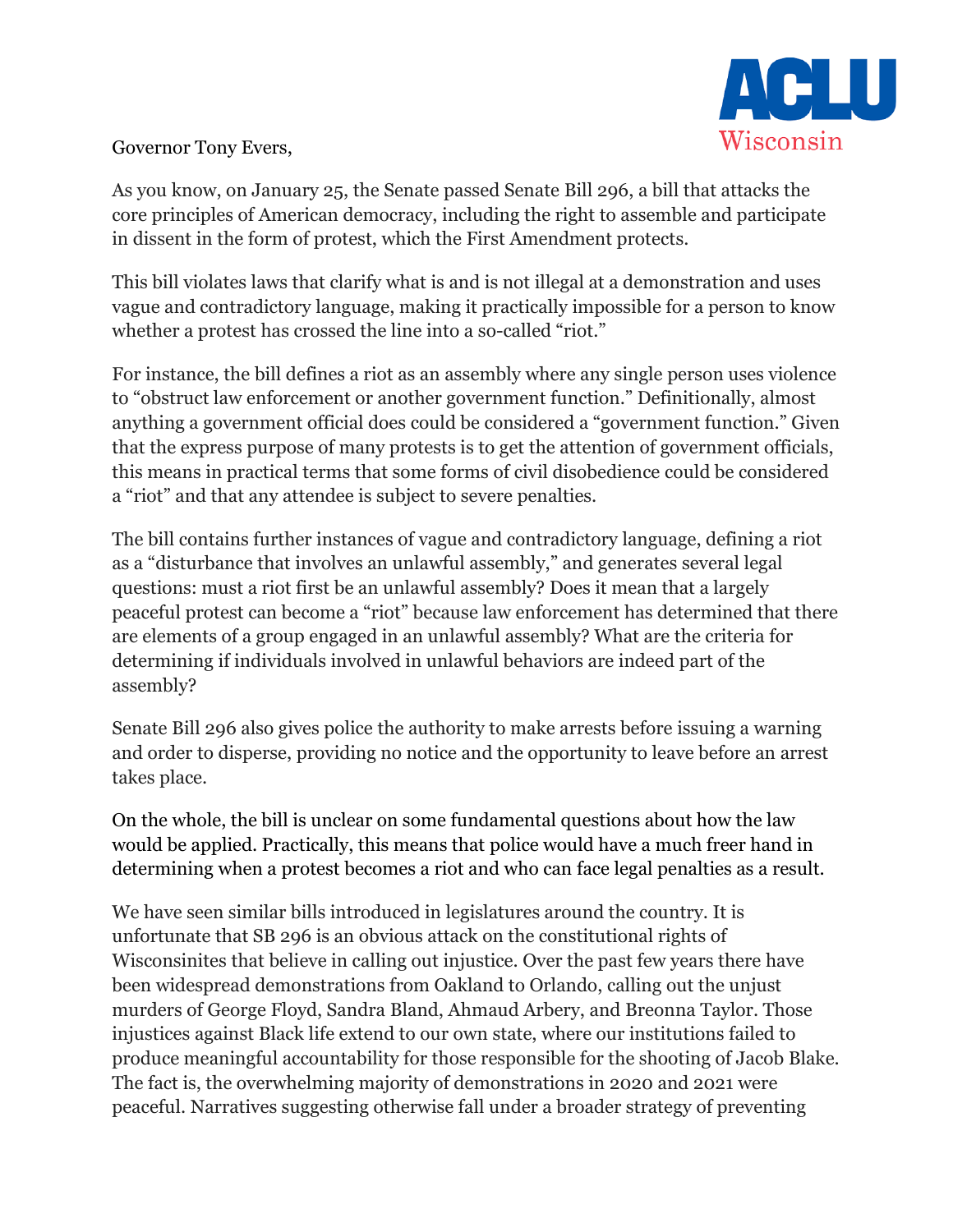

## Governor Tony Evers,

As you know, on January 25, the Senate passed Senate Bill 296, a bill that attacks the core principles of American democracy, including the right to assemble and participate in dissent in the form of protest, which the First Amendment protects.

This bill violates laws that clarify what is and is not illegal at a demonstration and uses vague and contradictory language, making it practically impossible for a person to know whether a protest has crossed the line into a so-called "riot."

For instance, the bill defines a riot as an assembly where any single person uses violence to "obstruct law enforcement or another government function." Definitionally, almost anything a government official does could be considered a "government function." Given that the express purpose of many protests is to get the attention of government officials, this means in practical terms that some forms of civil disobedience could be considered a "riot" and that any attendee is subject to severe penalties.

The bill contains further instances of vague and contradictory language, defining a riot as a "disturbance that involves an unlawful assembly," and generates several legal questions: must a riot first be an unlawful assembly? Does it mean that a largely peaceful protest can become a "riot" because law enforcement has determined that there are elements of a group engaged in an unlawful assembly? What are the criteria for determining if individuals involved in unlawful behaviors are indeed part of the assembly?

Senate Bill 296 also gives police the authority to make arrests before issuing a warning and order to disperse, providing no notice and the opportunity to leave before an arrest takes place.

On the whole, the bill is unclear on some fundamental questions about how the law would be applied. Practically, this means that police would have a much freer hand in determining when a protest becomes a riot and who can face legal penalties as a result.

We have seen similar bills introduced in legislatures around the country. It is unfortunate that SB 296 is an obvious attack on the constitutional rights of Wisconsinites that believe in calling out injustice. Over the past few years there have been widespread demonstrations from Oakland to Orlando, calling out the unjust murders of George Floyd, Sandra Bland, Ahmaud Arbery, and Breonna Taylor. Those injustices against Black life extend to our own state, where our institutions failed to produce meaningful accountability for those responsible for the shooting of Jacob Blake. The fact is, the overwhelming majority of demonstrations in 2020 and 2021 were peaceful. Narratives suggesting otherwise fall under a broader strategy of preventing